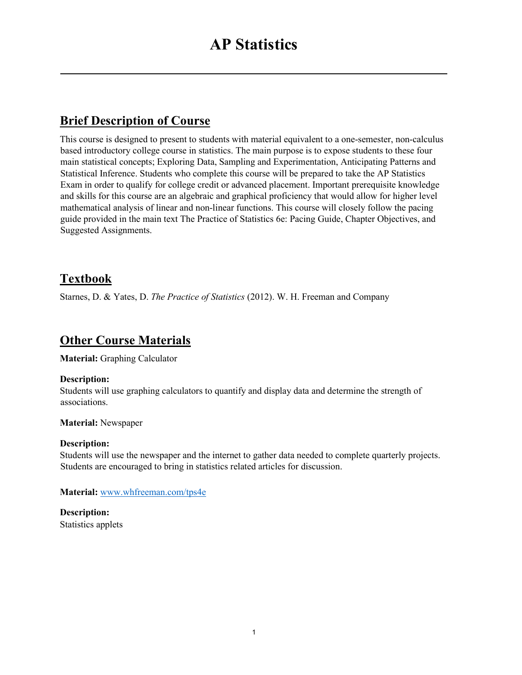## **Brief Description of Course**

This course is designed to present to students with material equivalent to a one-semester, non-calculus based introductory college course in statistics. The main purpose is to expose students to these four main statistical concepts; Exploring Data, Sampling and Experimentation, Anticipating Patterns and Statistical Inference. Students who complete this course will be prepared to take the AP Statistics Exam in order to qualify for college credit or advanced placement. Important prerequisite knowledge and skills for this course are an algebraic and graphical proficiency that would allow for higher level mathematical analysis of linear and non-linear functions. This course will closely follow the pacing guide provided in the main text The Practice of Statistics 6e: Pacing Guide, Chapter Objectives, and Suggested Assignments.

## **Textbook**

Starnes, D. & Yates, D. *The Practice of Statistics* (2012). W. H. Freeman and Company

### **Other Course Materials**

**Material:** Graphing Calculator

### **Description:**

Students will use graphing calculators to quantify and display data and determine the strength of associations.

**Material:** Newspaper

### **Description:**

Students will use the newspaper and the internet to gather data needed to complete quarterly projects. Students are encouraged to bring in statistics related articles for discussion.

**Material:** [www.whfreeman.com/tps4e](http://www.whfreeman.com/tps4e)

**Description:** Statistics applets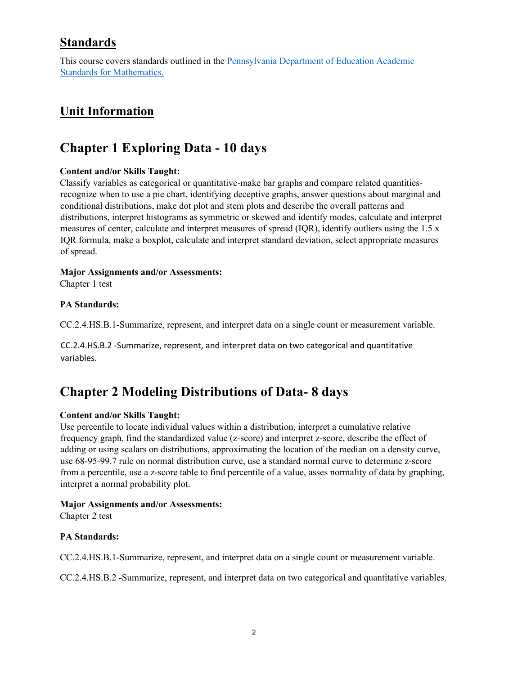### **Standards**

This course covers standards outlined in the Pennsylvania Department of Education Academic Standards for Mathematics.

# **Unit Information**

# **Chapter 1 Exploring Data - 10 days**

### **Content and/or Skills Taught:**

Classify variables as categorical or quantitative-make bar graphs and compare related quantitiesrecognize when to use a pie chart, identifying deceptive graphs, answer questions about marginal and conditional distributions, make dot plot and stem plots and describe the overall patterns and distributions, interpret histograms as symmetric or skewed and identify modes, calculate and interpret measures of center, calculate and interpret measures of spread (IQR), identify outliers using the 1.5 x IQR formula, make a boxplot, calculate and interpret standard deviation, select appropriate measures of spread.

### **Major Assignments and/or Assessments:**

Chapter 1 test

### **PA Standards:**

CC.2.4.HS.B.1-Summarize, represent, and interpret data on a single count or measurement variable.

CC.2.4.HS.B.2 -Summarize, represent, and interpret data on two categorical and quantitative variables.

# **Chapter 2 Modeling Distributions of Data- 8 days**

### **Content and/or Skills Taught:**

Use percentile to locate individual values within a distribution, interpret a cumulative relative frequency graph, find the standardized value (z-score) and interpret z-score, describe the effect of adding or using scalars on distributions, approximating the location of the median on a density curve, use 68-95-99.7 rule on normal distribution curve, use a standard normal curve to determine z-score from a percentile, use a z-score table to find percentile of a value, asses normality of data by graphing, interpret a normal probability plot.

### **Major Assignments and/or Assessments:**

Chapter 2 test

### **PA Standards:**

CC.2.4.HS.B.1-Summarize, represent, and interpret data on a single count or measurement variable.

CC.2.4.HS.B.2 -Summarize, represent, and interpret data on two categorical and quantitative variables.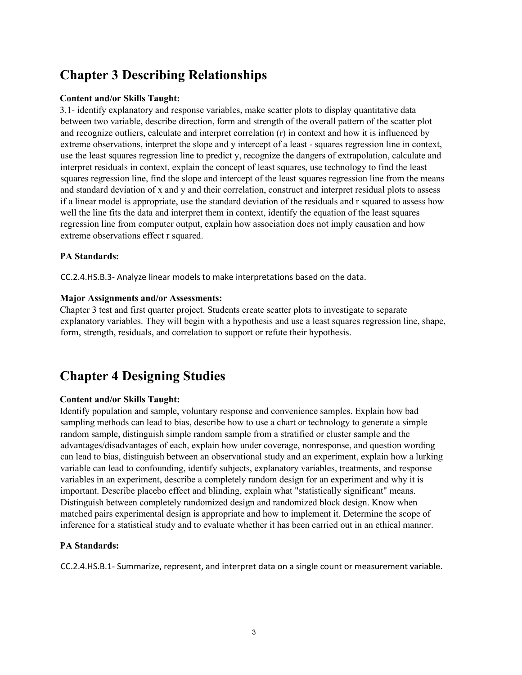# **Chapter 3 Describing Relationships**

### **Content and/or Skills Taught:**

3.1- identify explanatory and response variables, make scatter plots to display quantitative data between two variable, describe direction, form and strength of the overall pattern of the scatter plot and recognize outliers, calculate and interpret correlation (r) in context and how it is influenced by extreme observations, interpret the slope and y intercept of a least - squares regression line in context, use the least squares regression line to predict y, recognize the dangers of extrapolation, calculate and interpret residuals in context, explain the concept of least squares, use technology to find the least squares regression line, find the slope and intercept of the least squares regression line from the means and standard deviation of x and y and their correlation, construct and interpret residual plots to assess if a linear model is appropriate, use the standard deviation of the residuals and r squared to assess how well the line fits the data and interpret them in context, identify the equation of the least squares regression line from computer output, explain how association does not imply causation and how extreme observations effect r squared.

#### **PA Standards:**

CC.2.4.HS.B.3- Analyze linear models to make interpretations based on the data.

#### **Major Assignments and/or Assessments:**

Chapter 3 test and first quarter project. Students create scatter plots to investigate to separate explanatory variables. They will begin with a hypothesis and use a least squares regression line, shape, form, strength, residuals, and correlation to support or refute their hypothesis.

# **Chapter 4 Designing Studies**

### **Content and/or Skills Taught:**

Identify population and sample, voluntary response and convenience samples. Explain how bad sampling methods can lead to bias, describe how to use a chart or technology to generate a simple random sample, distinguish simple random sample from a stratified or cluster sample and the advantages/disadvantages of each, explain how under coverage, nonresponse, and question wording can lead to bias, distinguish between an observational study and an experiment, explain how a lurking variable can lead to confounding, identify subjects, explanatory variables, treatments, and response variables in an experiment, describe a completely random design for an experiment and why it is important. Describe placebo effect and blinding, explain what "statistically significant" means. Distinguish between completely randomized design and randomized block design. Know when matched pairs experimental design is appropriate and how to implement it. Determine the scope of inference for a statistical study and to evaluate whether it has been carried out in an ethical manner.

### **PA Standards:**

CC.2.4.HS.B.1- Summarize, represent, and interpret data on a single count or measurement variable.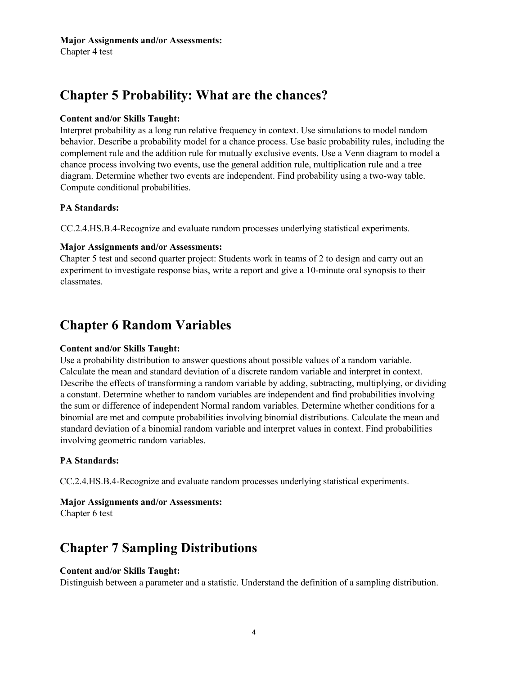#### **Major Assignments and/or Assessments:**

Chapter 4 test

# **Chapter 5 Probability: What are the chances?**

#### **Content and/or Skills Taught:**

Interpret probability as a long run relative frequency in context. Use simulations to model random behavior. Describe a probability model for a chance process. Use basic probability rules, including the complement rule and the addition rule for mutually exclusive events. Use a Venn diagram to model a chance process involving two events, use the general addition rule, multiplication rule and a tree diagram. Determine whether two events are independent. Find probability using a two-way table. Compute conditional probabilities.

#### **PA Standards:**

CC.2.4.HS.B.4-Recognize and evaluate random processes underlying statistical experiments.

#### **Major Assignments and/or Assessments:**

Chapter 5 test and second quarter project: Students work in teams of 2 to design and carry out an experiment to investigate response bias, write a report and give a 10-minute oral synopsis to their classmates.

# **Chapter 6 Random Variables**

#### **Content and/or Skills Taught:**

Use a probability distribution to answer questions about possible values of a random variable. Calculate the mean and standard deviation of a discrete random variable and interpret in context. Describe the effects of transforming a random variable by adding, subtracting, multiplying, or dividing a constant. Determine whether to random variables are independent and find probabilities involving the sum or difference of independent Normal random variables. Determine whether conditions for a binomial are met and compute probabilities involving binomial distributions. Calculate the mean and standard deviation of a binomial random variable and interpret values in context. Find probabilities involving geometric random variables.

### **PA Standards:**

CC.2.4.HS.B.4-Recognize and evaluate random processes underlying statistical experiments.

#### **Major Assignments and/or Assessments:**

Chapter 6 test

# **Chapter 7 Sampling Distributions**

#### **Content and/or Skills Taught:**

Distinguish between a parameter and a statistic. Understand the definition of a sampling distribution.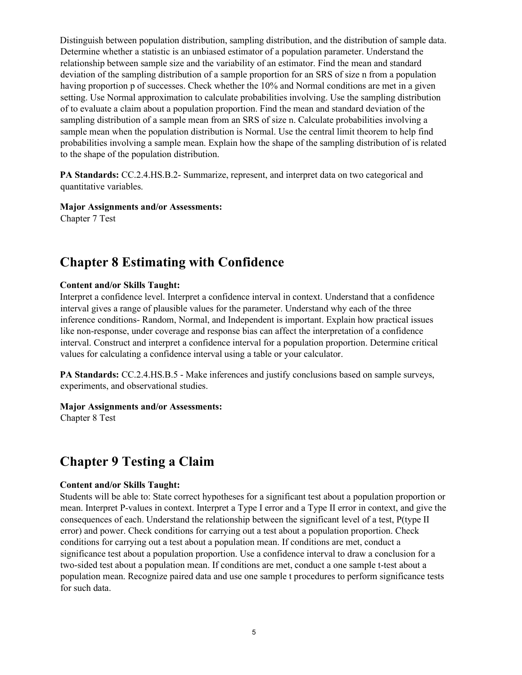Distinguish between population distribution, sampling distribution, and the distribution of sample data. Determine whether a statistic is an unbiased estimator of a population parameter. Understand the relationship between sample size and the variability of an estimator. Find the mean and standard deviation of the sampling distribution of a sample proportion for an SRS of size n from a population having proportion p of successes. Check whether the 10% and Normal conditions are met in a given setting. Use Normal approximation to calculate probabilities involving. Use the sampling distribution of to evaluate a claim about a population proportion. Find the mean and standard deviation of the sampling distribution of a sample mean from an SRS of size n. Calculate probabilities involving a sample mean when the population distribution is Normal. Use the central limit theorem to help find probabilities involving a sample mean. Explain how the shape of the sampling distribution of is related to the shape of the population distribution.

**PA Standards:** CC.2.4.HS.B.2- Summarize, represent, and interpret data on two categorical and quantitative variables.

#### **Major Assignments and/or Assessments:**

Chapter 7 Test

## **Chapter 8 Estimating with Confidence**

#### **Content and/or Skills Taught:**

Interpret a confidence level. Interpret a confidence interval in context. Understand that a confidence interval gives a range of plausible values for the parameter. Understand why each of the three inference conditions- Random, Normal, and Independent is important. Explain how practical issues like non-response, under coverage and response bias can affect the interpretation of a confidence interval. Construct and interpret a confidence interval for a population proportion. Determine critical values for calculating a confidence interval using a table or your calculator.

**PA Standards:** CC.2.4.HS.B.5 - Make inferences and justify conclusions based on sample surveys, experiments, and observational studies.

#### **Major Assignments and/or Assessments:**

Chapter 8 Test

# **Chapter 9 Testing a Claim**

#### **Content and/or Skills Taught:**

Students will be able to: State correct hypotheses for a significant test about a population proportion or mean. Interpret P-values in context. Interpret a Type I error and a Type II error in context, and give the consequences of each. Understand the relationship between the significant level of a test, P(type II error) and power. Check conditions for carrying out a test about a population proportion. Check conditions for carrying out a test about a population mean. If conditions are met, conduct a significance test about a population proportion. Use a confidence interval to draw a conclusion for a two-sided test about a population mean. If conditions are met, conduct a one sample t-test about a population mean. Recognize paired data and use one sample t procedures to perform significance tests for such data.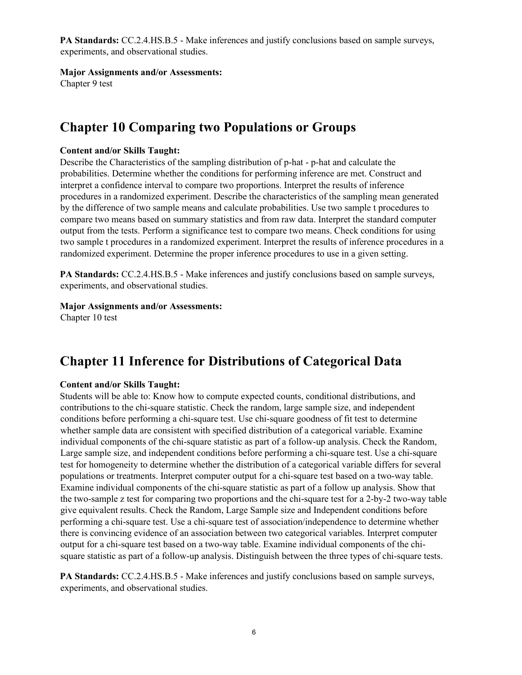**PA Standards:** CC.2.4.HS.B.5 - Make inferences and justify conclusions based on sample surveys, experiments, and observational studies.

**Major Assignments and/or Assessments:** 

Chapter 9 test

# **Chapter 10 Comparing two Populations or Groups**

#### **Content and/or Skills Taught:**

Describe the Characteristics of the sampling distribution of p-hat - p-hat and calculate the probabilities. Determine whether the conditions for performing inference are met. Construct and interpret a confidence interval to compare two proportions. Interpret the results of inference procedures in a randomized experiment. Describe the characteristics of the sampling mean generated by the difference of two sample means and calculate probabilities. Use two sample t procedures to compare two means based on summary statistics and from raw data. Interpret the standard computer output from the tests. Perform a significance test to compare two means. Check conditions for using two sample t procedures in a randomized experiment. Interpret the results of inference procedures in a randomized experiment. Determine the proper inference procedures to use in a given setting.

**PA Standards:** CC.2.4.HS.B.5 - Make inferences and justify conclusions based on sample surveys, experiments, and observational studies.

#### **Major Assignments and/or Assessments:**

Chapter 10 test

# **Chapter 11 Inference for Distributions of Categorical Data**

### **Content and/or Skills Taught:**

Students will be able to: Know how to compute expected counts, conditional distributions, and contributions to the chi-square statistic. Check the random, large sample size, and independent conditions before performing a chi-square test. Use chi-square goodness of fit test to determine whether sample data are consistent with specified distribution of a categorical variable. Examine individual components of the chi-square statistic as part of a follow-up analysis. Check the Random, Large sample size, and independent conditions before performing a chi-square test. Use a chi-square test for homogeneity to determine whether the distribution of a categorical variable differs for several populations or treatments. Interpret computer output for a chi-square test based on a two-way table. Examine individual components of the chi-square statistic as part of a follow up analysis. Show that the two-sample z test for comparing two proportions and the chi-square test for a 2-by-2 two-way table give equivalent results. Check the Random, Large Sample size and Independent conditions before performing a chi-square test. Use a chi-square test of association/independence to determine whether there is convincing evidence of an association between two categorical variables. Interpret computer output for a chi-square test based on a two-way table. Examine individual components of the chisquare statistic as part of a follow-up analysis. Distinguish between the three types of chi-square tests.

**PA Standards:** CC.2.4.HS.B.5 - Make inferences and justify conclusions based on sample surveys, experiments, and observational studies.